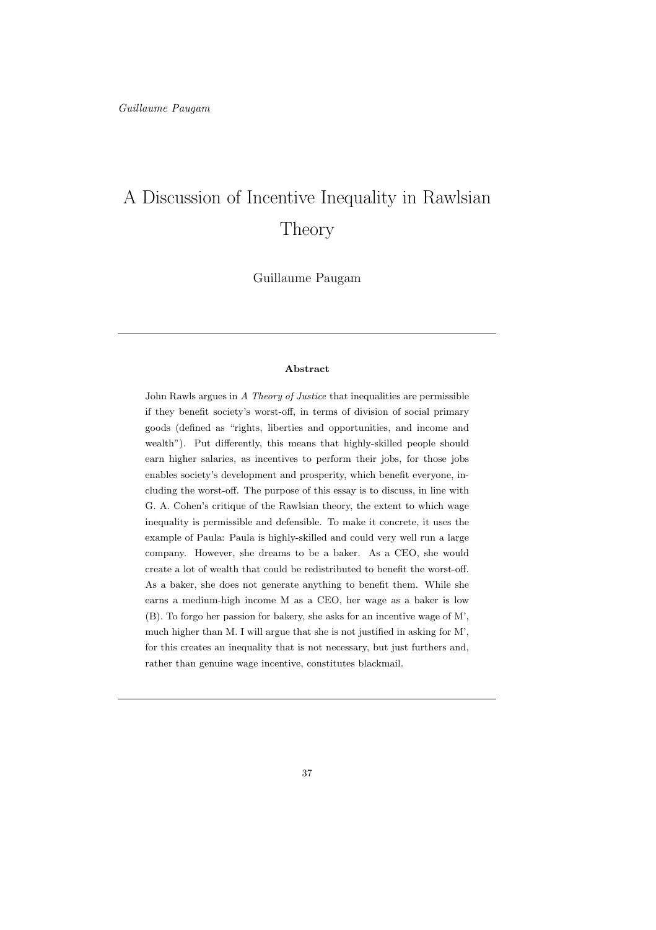# A Discussion of Incentive Inequality in Rawlsian Theory

Guillaume Paugam

#### Abstract

John Rawls argues in A Theory of Justice that inequalities are permissible if they benefit society's worst-off, in terms of division of social primary goods (defined as "rights, liberties and opportunities, and income and wealth"). Put differently, this means that highly-skilled people should earn higher salaries, as incentives to perform their jobs, for those jobs enables society's development and prosperity, which benefit everyone, including the worst-off. The purpose of this essay is to discuss, in line with G. A. Cohen's critique of the Rawlsian theory, the extent to which wage inequality is permissible and defensible. To make it concrete, it uses the example of Paula: Paula is highly-skilled and could very well run a large company. However, she dreams to be a baker. As a CEO, she would create a lot of wealth that could be redistributed to benefit the worst-off. As a baker, she does not generate anything to benefit them. While she earns a medium-high income M as a CEO, her wage as a baker is low (B). To forgo her passion for bakery, she asks for an incentive wage of M', much higher than M. I will argue that she is not justified in asking for M', for this creates an inequality that is not necessary, but just furthers and, rather than genuine wage incentive, constitutes blackmail.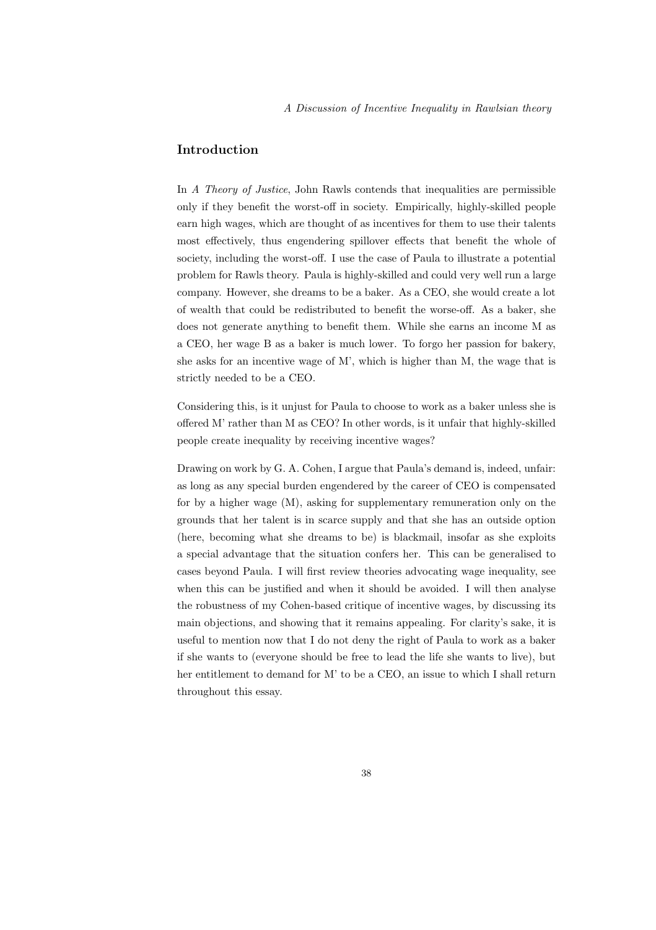# Introduction

In A Theory of Justice, John Rawls contends that inequalities are permissible only if they benefit the worst-off in society. Empirically, highly-skilled people earn high wages, which are thought of as incentives for them to use their talents most effectively, thus engendering spillover effects that benefit the whole of society, including the worst-off. I use the case of Paula to illustrate a potential problem for Rawls theory. Paula is highly-skilled and could very well run a large company. However, she dreams to be a baker. As a CEO, she would create a lot of wealth that could be redistributed to benefit the worse-off. As a baker, she does not generate anything to benefit them. While she earns an income M as a CEO, her wage B as a baker is much lower. To forgo her passion for bakery, she asks for an incentive wage of M', which is higher than M, the wage that is strictly needed to be a CEO.

Considering this, is it unjust for Paula to choose to work as a baker unless she is offered M' rather than M as CEO? In other words, is it unfair that highly-skilled people create inequality by receiving incentive wages?

Drawing on work by G. A. Cohen, I argue that Paula's demand is, indeed, unfair: as long as any special burden engendered by the career of CEO is compensated for by a higher wage (M), asking for supplementary remuneration only on the grounds that her talent is in scarce supply and that she has an outside option (here, becoming what she dreams to be) is blackmail, insofar as she exploits a special advantage that the situation confers her. This can be generalised to cases beyond Paula. I will first review theories advocating wage inequality, see when this can be justified and when it should be avoided. I will then analyse the robustness of my Cohen-based critique of incentive wages, by discussing its main objections, and showing that it remains appealing. For clarity's sake, it is useful to mention now that I do not deny the right of Paula to work as a baker if she wants to (everyone should be free to lead the life she wants to live), but her entitlement to demand for M' to be a CEO, an issue to which I shall return throughout this essay.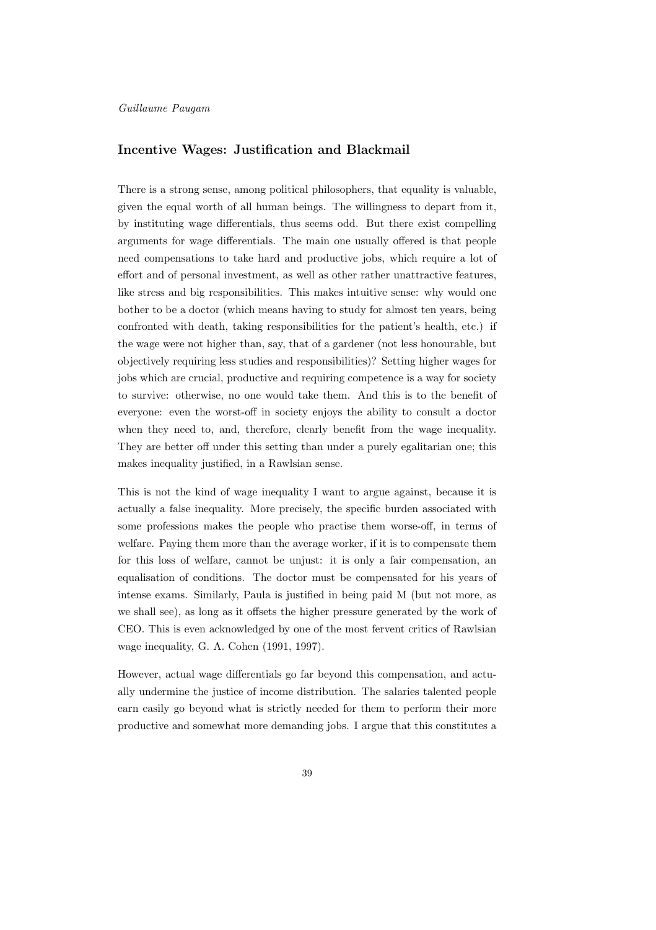#### Guillaume Paugam

#### Incentive Wages: Justification and Blackmail

There is a strong sense, among political philosophers, that equality is valuable, given the equal worth of all human beings. The willingness to depart from it, by instituting wage differentials, thus seems odd. But there exist compelling arguments for wage differentials. The main one usually offered is that people need compensations to take hard and productive jobs, which require a lot of effort and of personal investment, as well as other rather unattractive features, like stress and big responsibilities. This makes intuitive sense: why would one bother to be a doctor (which means having to study for almost ten years, being confronted with death, taking responsibilities for the patient's health, etc.) if the wage were not higher than, say, that of a gardener (not less honourable, but objectively requiring less studies and responsibilities)? Setting higher wages for jobs which are crucial, productive and requiring competence is a way for society to survive: otherwise, no one would take them. And this is to the benefit of everyone: even the worst-off in society enjoys the ability to consult a doctor when they need to, and, therefore, clearly benefit from the wage inequality. They are better off under this setting than under a purely egalitarian one; this makes inequality justified, in a Rawlsian sense.

This is not the kind of wage inequality I want to argue against, because it is actually a false inequality. More precisely, the specific burden associated with some professions makes the people who practise them worse-off, in terms of welfare. Paying them more than the average worker, if it is to compensate them for this loss of welfare, cannot be unjust: it is only a fair compensation, an equalisation of conditions. The doctor must be compensated for his years of intense exams. Similarly, Paula is justified in being paid M (but not more, as we shall see), as long as it offsets the higher pressure generated by the work of CEO. This is even acknowledged by one of the most fervent critics of Rawlsian wage inequality, G. A. Cohen (1991, 1997).

However, actual wage differentials go far beyond this compensation, and actually undermine the justice of income distribution. The salaries talented people earn easily go beyond what is strictly needed for them to perform their more productive and somewhat more demanding jobs. I argue that this constitutes a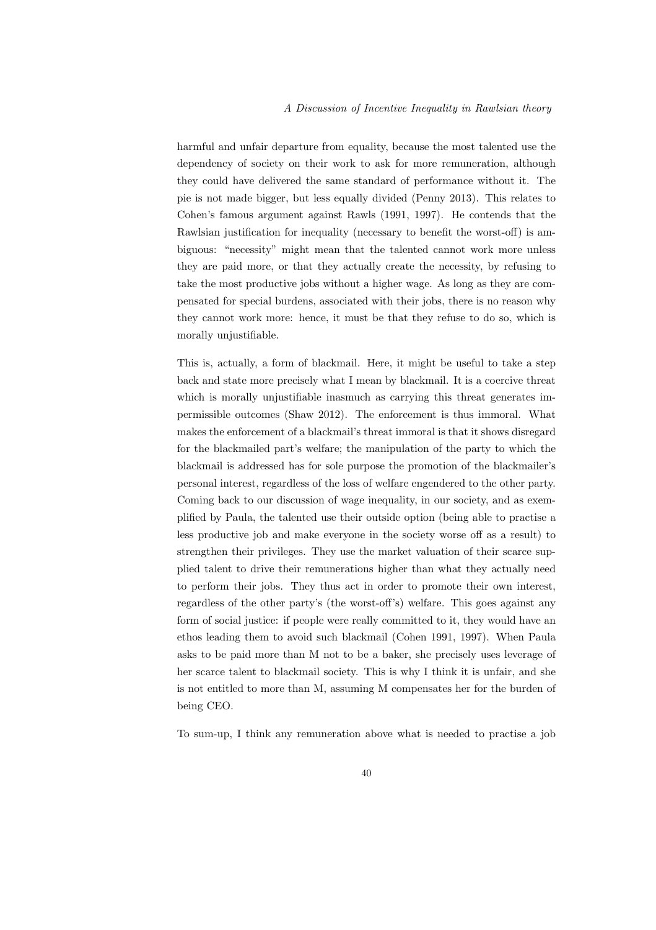harmful and unfair departure from equality, because the most talented use the dependency of society on their work to ask for more remuneration, although they could have delivered the same standard of performance without it. The pie is not made bigger, but less equally divided (Penny 2013). This relates to Cohen's famous argument against Rawls (1991, 1997). He contends that the Rawlsian justification for inequality (necessary to benefit the worst-off) is ambiguous: "necessity" might mean that the talented cannot work more unless they are paid more, or that they actually create the necessity, by refusing to take the most productive jobs without a higher wage. As long as they are compensated for special burdens, associated with their jobs, there is no reason why they cannot work more: hence, it must be that they refuse to do so, which is morally unjustifiable.

This is, actually, a form of blackmail. Here, it might be useful to take a step back and state more precisely what I mean by blackmail. It is a coercive threat which is morally unjustifiable inasmuch as carrying this threat generates impermissible outcomes (Shaw 2012). The enforcement is thus immoral. What makes the enforcement of a blackmail's threat immoral is that it shows disregard for the blackmailed part's welfare; the manipulation of the party to which the blackmail is addressed has for sole purpose the promotion of the blackmailer's personal interest, regardless of the loss of welfare engendered to the other party. Coming back to our discussion of wage inequality, in our society, and as exemplified by Paula, the talented use their outside option (being able to practise a less productive job and make everyone in the society worse off as a result) to strengthen their privileges. They use the market valuation of their scarce supplied talent to drive their remunerations higher than what they actually need to perform their jobs. They thus act in order to promote their own interest, regardless of the other party's (the worst-off's) welfare. This goes against any form of social justice: if people were really committed to it, they would have an ethos leading them to avoid such blackmail (Cohen 1991, 1997). When Paula asks to be paid more than M not to be a baker, she precisely uses leverage of her scarce talent to blackmail society. This is why I think it is unfair, and she is not entitled to more than M, assuming M compensates her for the burden of being CEO.

To sum-up, I think any remuneration above what is needed to practise a job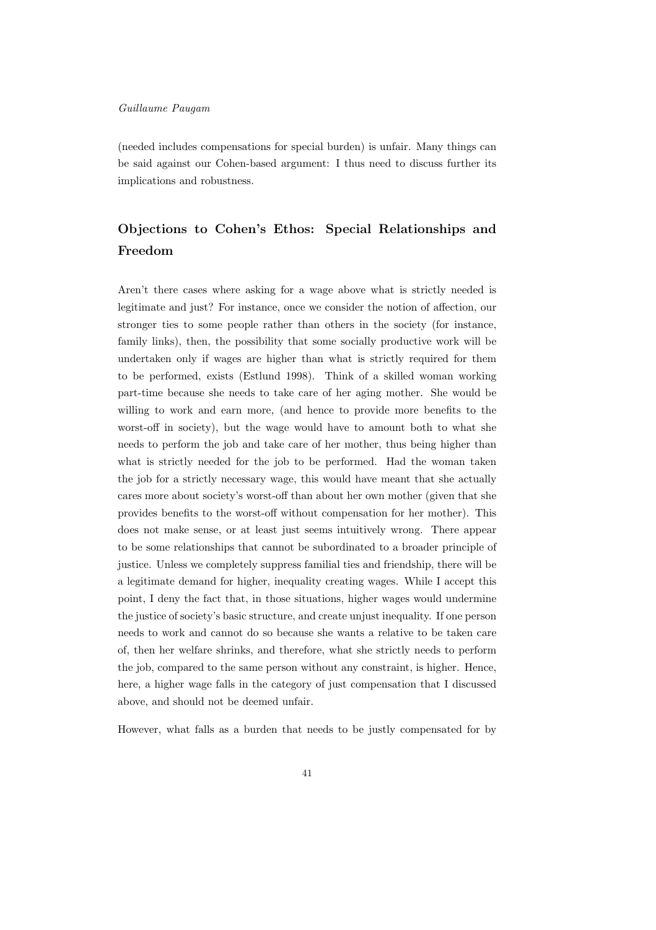#### Guillaume Paugam

(needed includes compensations for special burden) is unfair. Many things can be said against our Cohen-based argument: I thus need to discuss further its implications and robustness.

# Objections to Cohen's Ethos: Special Relationships and Freedom

Aren't there cases where asking for a wage above what is strictly needed is legitimate and just? For instance, once we consider the notion of affection, our stronger ties to some people rather than others in the society (for instance, family links), then, the possibility that some socially productive work will be undertaken only if wages are higher than what is strictly required for them to be performed, exists (Estlund 1998). Think of a skilled woman working part-time because she needs to take care of her aging mother. She would be willing to work and earn more, (and hence to provide more benefits to the worst-off in society), but the wage would have to amount both to what she needs to perform the job and take care of her mother, thus being higher than what is strictly needed for the job to be performed. Had the woman taken the job for a strictly necessary wage, this would have meant that she actually cares more about society's worst-off than about her own mother (given that she provides benefits to the worst-off without compensation for her mother). This does not make sense, or at least just seems intuitively wrong. There appear to be some relationships that cannot be subordinated to a broader principle of justice. Unless we completely suppress familial ties and friendship, there will be a legitimate demand for higher, inequality creating wages. While I accept this point, I deny the fact that, in those situations, higher wages would undermine the justice of society's basic structure, and create unjust inequality. If one person needs to work and cannot do so because she wants a relative to be taken care of, then her welfare shrinks, and therefore, what she strictly needs to perform the job, compared to the same person without any constraint, is higher. Hence, here, a higher wage falls in the category of just compensation that I discussed above, and should not be deemed unfair.

However, what falls as a burden that needs to be justly compensated for by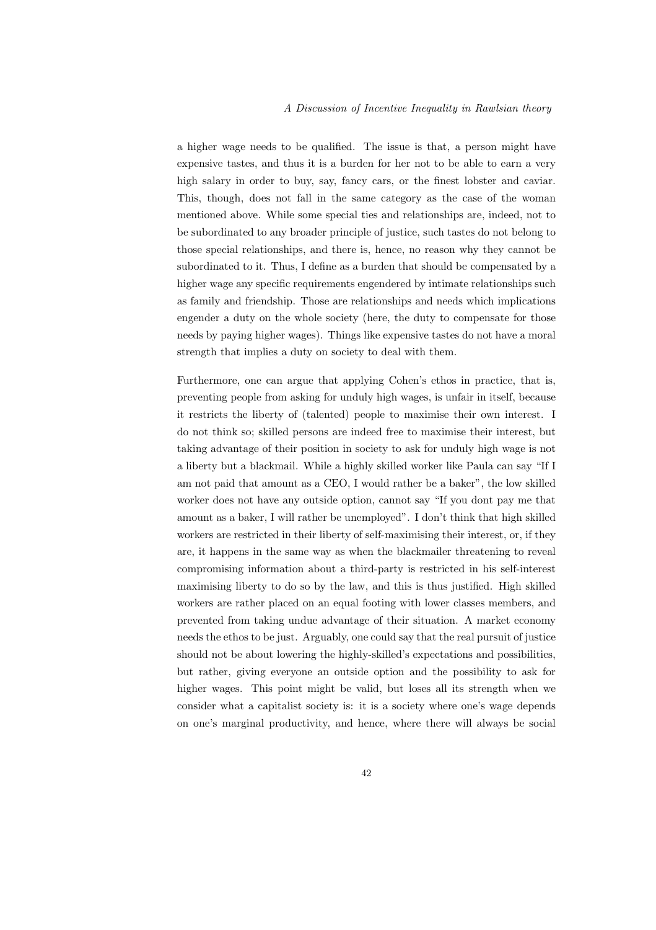a higher wage needs to be qualified. The issue is that, a person might have expensive tastes, and thus it is a burden for her not to be able to earn a very high salary in order to buy, say, fancy cars, or the finest lobster and caviar. This, though, does not fall in the same category as the case of the woman mentioned above. While some special ties and relationships are, indeed, not to be subordinated to any broader principle of justice, such tastes do not belong to those special relationships, and there is, hence, no reason why they cannot be subordinated to it. Thus, I define as a burden that should be compensated by a higher wage any specific requirements engendered by intimate relationships such as family and friendship. Those are relationships and needs which implications engender a duty on the whole society (here, the duty to compensate for those needs by paying higher wages). Things like expensive tastes do not have a moral strength that implies a duty on society to deal with them.

Furthermore, one can argue that applying Cohen's ethos in practice, that is, preventing people from asking for unduly high wages, is unfair in itself, because it restricts the liberty of (talented) people to maximise their own interest. I do not think so; skilled persons are indeed free to maximise their interest, but taking advantage of their position in society to ask for unduly high wage is not a liberty but a blackmail. While a highly skilled worker like Paula can say "If I am not paid that amount as a CEO, I would rather be a baker", the low skilled worker does not have any outside option, cannot say "If you dont pay me that amount as a baker, I will rather be unemployed". I don't think that high skilled workers are restricted in their liberty of self-maximising their interest, or, if they are, it happens in the same way as when the blackmailer threatening to reveal compromising information about a third-party is restricted in his self-interest maximising liberty to do so by the law, and this is thus justified. High skilled workers are rather placed on an equal footing with lower classes members, and prevented from taking undue advantage of their situation. A market economy needs the ethos to be just. Arguably, one could say that the real pursuit of justice should not be about lowering the highly-skilled's expectations and possibilities, but rather, giving everyone an outside option and the possibility to ask for higher wages. This point might be valid, but loses all its strength when we consider what a capitalist society is: it is a society where one's wage depends on one's marginal productivity, and hence, where there will always be social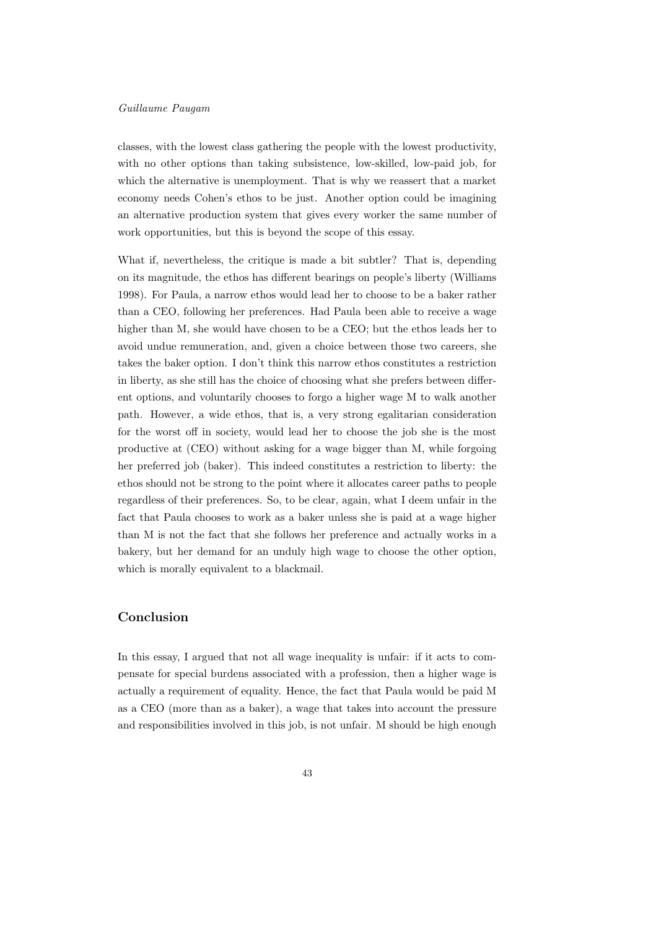#### Guillaume Paugam

classes, with the lowest class gathering the people with the lowest productivity, with no other options than taking subsistence, low-skilled, low-paid job, for which the alternative is unemployment. That is why we reassert that a market economy needs Cohen's ethos to be just. Another option could be imagining an alternative production system that gives every worker the same number of work opportunities, but this is beyond the scope of this essay.

What if, nevertheless, the critique is made a bit subtler? That is, depending on its magnitude, the ethos has different bearings on people's liberty (Williams 1998). For Paula, a narrow ethos would lead her to choose to be a baker rather than a CEO, following her preferences. Had Paula been able to receive a wage higher than M, she would have chosen to be a CEO; but the ethos leads her to avoid undue remuneration, and, given a choice between those two careers, she takes the baker option. I don't think this narrow ethos constitutes a restriction in liberty, as she still has the choice of choosing what she prefers between different options, and voluntarily chooses to forgo a higher wage M to walk another path. However, a wide ethos, that is, a very strong egalitarian consideration for the worst off in society, would lead her to choose the job she is the most productive at (CEO) without asking for a wage bigger than M, while forgoing her preferred job (baker). This indeed constitutes a restriction to liberty: the ethos should not be strong to the point where it allocates career paths to people regardless of their preferences. So, to be clear, again, what I deem unfair in the fact that Paula chooses to work as a baker unless she is paid at a wage higher than M is not the fact that she follows her preference and actually works in a bakery, but her demand for an unduly high wage to choose the other option, which is morally equivalent to a blackmail.

### Conclusion

In this essay, I argued that not all wage inequality is unfair: if it acts to compensate for special burdens associated with a profession, then a higher wage is actually a requirement of equality. Hence, the fact that Paula would be paid M as a CEO (more than as a baker), a wage that takes into account the pressure and responsibilities involved in this job, is not unfair. M should be high enough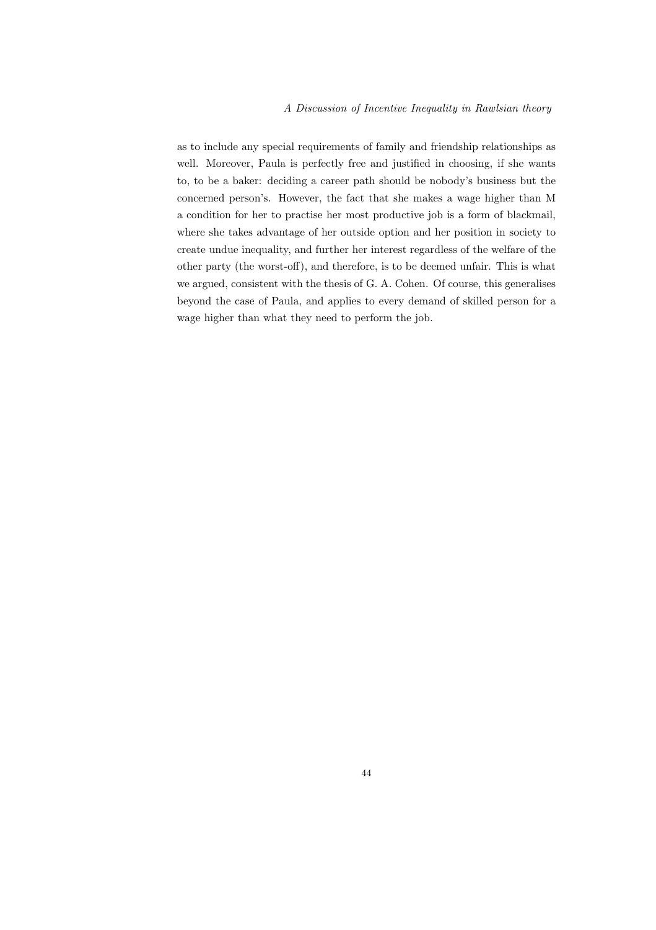as to include any special requirements of family and friendship relationships as well. Moreover, Paula is perfectly free and justified in choosing, if she wants to, to be a baker: deciding a career path should be nobody's business but the concerned person's. However, the fact that she makes a wage higher than M a condition for her to practise her most productive job is a form of blackmail, where she takes advantage of her outside option and her position in society to create undue inequality, and further her interest regardless of the welfare of the other party (the worst-off), and therefore, is to be deemed unfair. This is what we argued, consistent with the thesis of G. A. Cohen. Of course, this generalises beyond the case of Paula, and applies to every demand of skilled person for a wage higher than what they need to perform the job.